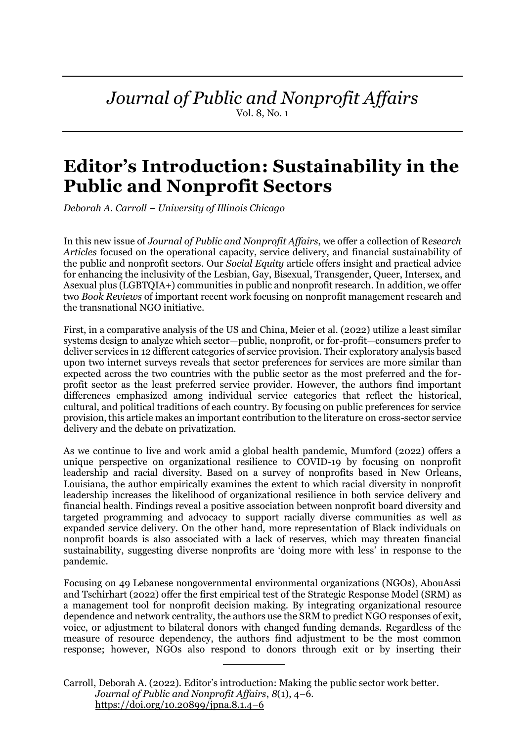# *Journal of Public and Nonprofit Affairs*

Vol. 8, No. 1

# **Editor's Introduction: Sustainability in the Public and Nonprofit Sectors**

*Deborah A. Carroll – University of Illinois Chicago*

In this new issue of *Journal of Public and Nonprofit Affairs*, we offer a collection of R*esearch Articles* focused on the operational capacity, service delivery, and financial sustainability of the public and nonprofit sectors. Our *Social Equity* article offers insight and practical advice for enhancing the inclusivity of the Lesbian, Gay, Bisexual, Transgender, Queer, Intersex, and Asexual plus (LGBTQIA+) communities in public and nonprofit research. In addition, we offer two *Book Reviews* of important recent work focusing on nonprofit management research and the transnational NGO initiative.

First, in a comparative analysis of the US and China, Meier et al. (2022) utilize a least similar systems design to analyze which sector—public, nonprofit, or for-profit—consumers prefer to deliver services in 12 different categories of service provision. Their exploratory analysis based upon two internet surveys reveals that sector preferences for services are more similar than expected across the two countries with the public sector as the most preferred and the forprofit sector as the least preferred service provider. However, the authors find important differences emphasized among individual service categories that reflect the historical, cultural, and political traditions of each country. By focusing on public preferences for service provision, this article makes an important contribution to the literature on cross-sector service delivery and the debate on privatization.

As we continue to live and work amid a global health pandemic, Mumford (2022) offers a unique perspective on organizational resilience to COVID-19 by focusing on nonprofit leadership and racial diversity. Based on a survey of nonprofits based in New Orleans, Louisiana, the author empirically examines the extent to which racial diversity in nonprofit leadership increases the likelihood of organizational resilience in both service delivery and financial health. Findings reveal a positive association between nonprofit board diversity and targeted programming and advocacy to support racially diverse communities as well as expanded service delivery. On the other hand, more representation of Black individuals on nonprofit boards is also associated with a lack of reserves, which may threaten financial sustainability, suggesting diverse nonprofits are 'doing more with less' in response to the pandemic.

Focusing on 49 Lebanese nongovernmental environmental organizations (NGOs), AbouAssi and Tschirhart (2022) offer the first empirical test of the Strategic Response Model (SRM) as a management tool for nonprofit decision making. By integrating organizational resource dependence and network centrality, the authors use the SRM to predict NGO responses of exit, voice, or adjustment to bilateral donors with changed funding demands. Regardless of the measure of resource dependency, the authors find adjustment to be the most common response; however, NGOs also respond to donors through exit or by inserting their

Carroll, Deborah A. (2022). Editor's introduction: Making the public sector work better. *Journal of Public and Nonprofit Affairs*, *8*(1), 4–6. [https://doi.org/10.20899/jpna.8.1.4](https://doi.org/10.20899/jpna.8.1.)–6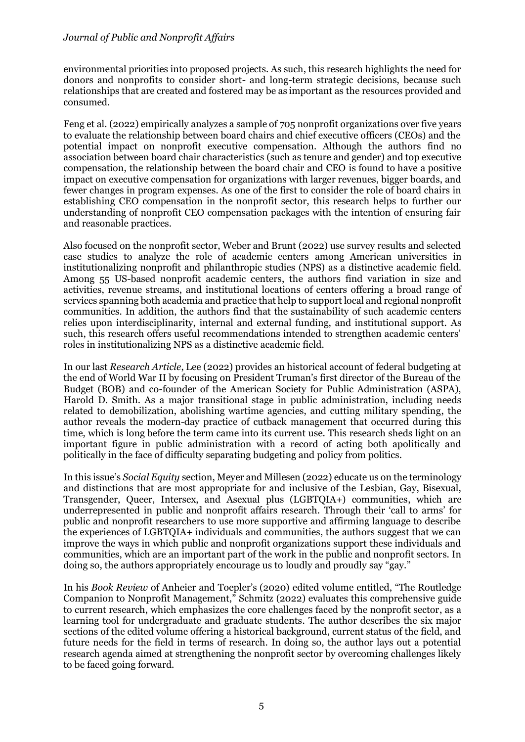#### *Journal of Public and Nonprofit Affairs*

environmental priorities into proposed projects. As such, this research highlights the need for donors and nonprofits to consider short- and long-term strategic decisions, because such relationships that are created and fostered may be as important as the resources provided and consumed.

Feng et al. (2022) empirically analyzes a sample of 705 nonprofit organizations over five years to evaluate the relationship between board chairs and chief executive officers (CEOs) and the potential impact on nonprofit executive compensation. Although the authors find no association between board chair characteristics (such as tenure and gender) and top executive compensation, the relationship between the board chair and CEO is found to have a positive impact on executive compensation for organizations with larger revenues, bigger boards, and fewer changes in program expenses. As one of the first to consider the role of board chairs in establishing CEO compensation in the nonprofit sector, this research helps to further our understanding of nonprofit CEO compensation packages with the intention of ensuring fair and reasonable practices.

Also focused on the nonprofit sector, Weber and Brunt (2022) use survey results and selected case studies to analyze the role of academic centers among American universities in institutionalizing nonprofit and philanthropic studies (NPS) as a distinctive academic field. Among 55 US-based nonprofit academic centers, the authors find variation in size and activities, revenue streams, and institutional locations of centers offering a broad range of services spanning both academia and practice that help to support local and regional nonprofit communities. In addition, the authors find that the sustainability of such academic centers relies upon interdisciplinarity, internal and external funding, and institutional support. As such, this research offers useful recommendations intended to strengthen academic centers' roles in institutionalizing NPS as a distinctive academic field.

In our last *Research Article*, Lee (2022) provides an historical account of federal budgeting at the end of World War II by focusing on President Truman's first director of the Bureau of the Budget (BOB) and co-founder of the American Society for Public Administration (ASPA), Harold D. Smith. As a major transitional stage in public administration, including needs related to demobilization, abolishing wartime agencies, and cutting military spending, the author reveals the modern-day practice of cutback management that occurred during this time, which is long before the term came into its current use. This research sheds light on an important figure in public administration with a record of acting both apolitically and politically in the face of difficulty separating budgeting and policy from politics.

In this issue's *Social Equity* section, Meyer and Millesen (2022) educate us on the terminology and distinctions that are most appropriate for and inclusive of the Lesbian, Gay, Bisexual, Transgender, Queer, Intersex, and Asexual plus (LGBTQIA+) communities, which are underrepresented in public and nonprofit affairs research. Through their 'call to arms' for public and nonprofit researchers to use more supportive and affirming language to describe the experiences of LGBTQIA+ individuals and communities, the authors suggest that we can improve the ways in which public and nonprofit organizations support these individuals and communities, which are an important part of the work in the public and nonprofit sectors. In doing so, the authors appropriately encourage us to loudly and proudly say "gay."

In his *Book Review* of Anheier and Toepler's (2020) edited volume entitled, "The Routledge Companion to Nonprofit Management," Schmitz (2022) evaluates this comprehensive guide to current research, which emphasizes the core challenges faced by the nonprofit sector, as a learning tool for undergraduate and graduate students. The author describes the six major sections of the edited volume offering a historical background, current status of the field, and future needs for the field in terms of research. In doing so, the author lays out a potential research agenda aimed at strengthening the nonprofit sector by overcoming challenges likely to be faced going forward.